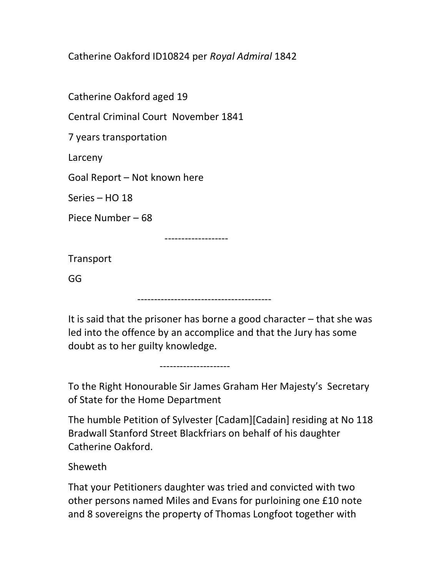Catherine Oakford ID10824 per Royal Admiral 1842

Catherine Oakford aged 19

Central Criminal Court November 1841

7 years transportation

Larceny

Goal Report – Not known here

Series – HO 18

Piece Number – 68

-------------------

Transport

GG

----------------------------------------

---------------------

It is said that the prisoner has borne a good character – that she was led into the offence by an accomplice and that the Jury has some doubt as to her guilty knowledge.

To the Right Honourable Sir James Graham Her Majesty's Secretary of State for the Home Department

The humble Petition of Sylvester [Cadam][Cadain] residing at No 118 Bradwall Stanford Street Blackfriars on behalf of his daughter Catherine Oakford.

Sheweth

That your Petitioners daughter was tried and convicted with two other persons named Miles and Evans for purloining one £10 note and 8 sovereigns the property of Thomas Longfoot together with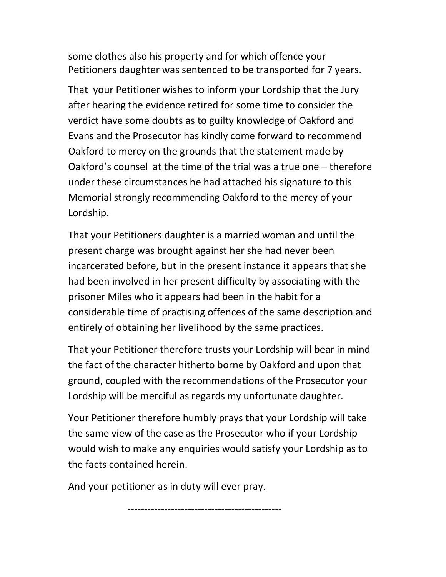some clothes also his property and for which offence your Petitioners daughter was sentenced to be transported for 7 years.

That your Petitioner wishes to inform your Lordship that the Jury after hearing the evidence retired for some time to consider the verdict have some doubts as to guilty knowledge of Oakford and Evans and the Prosecutor has kindly come forward to recommend Oakford to mercy on the grounds that the statement made by Oakford's counsel at the time of the trial was a true one – therefore under these circumstances he had attached his signature to this Memorial strongly recommending Oakford to the mercy of your Lordship.

That your Petitioners daughter is a married woman and until the present charge was brought against her she had never been incarcerated before, but in the present instance it appears that she had been involved in her present difficulty by associating with the prisoner Miles who it appears had been in the habit for a considerable time of practising offences of the same description and entirely of obtaining her livelihood by the same practices.

That your Petitioner therefore trusts your Lordship will bear in mind the fact of the character hitherto borne by Oakford and upon that ground, coupled with the recommendations of the Prosecutor your Lordship will be merciful as regards my unfortunate daughter.

Your Petitioner therefore humbly prays that your Lordship will take the same view of the case as the Prosecutor who if your Lordship would wish to make any enquiries would satisfy your Lordship as to the facts contained herein.

----------------------------------------------

And your petitioner as in duty will ever pray.